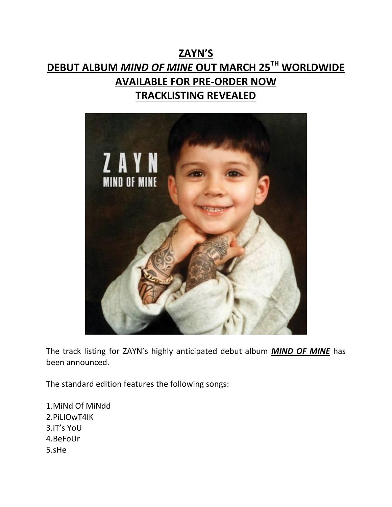# **ZAYN'S DEBUT ALBUM** *MIND OF MINE* **OUT MARCH 25TH WORLDWIDE AVAILABLE FOR PRE-ORDER NOW TRACKLISTING REVEALED**



The track listing for ZAYN's highly anticipated debut album *MIND OF MINE* has been announced.

The standard edition features the following songs:

1.MiNd Of MiNdd 2.PiLlOwT4lK 3.iT's YoU 4.BeFoUr 5.sHe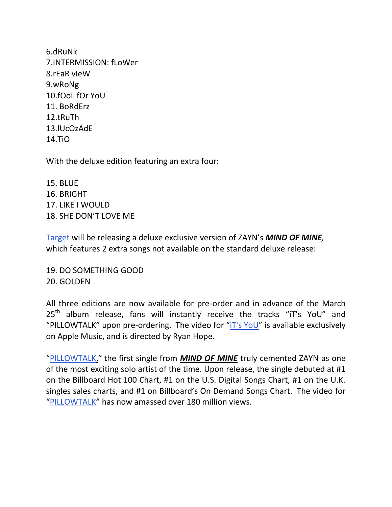6.dRuNk 7.INTERMISSION: fLoWer 8.rEaR vIeW 9.wRoNg 10.fOoL fOr YoU 11. BoRdErz 12.tRuTh 13.lUcOzAdE 14.TiO

With the deluxe edition featuring an extra four:

15. BLUE 16. BRIGHT 17. LIKE I WOULD 18. SHE DON'T LOVE ME

[Target](http://smarturl.it/ZaynTargetDeluxe) will be releasing a deluxe exclusive version of ZAYN's *MIND OF MINE,*  which features 2 extra songs not available on the standard deluxe release:

19. DO SOMETHING GOOD 20. GOLDEN

All three editions are now available for pre-order and in advance of the March  $25<sup>th</sup>$  album release, fans will instantly receive the tracks "iT's YoU" and "PILLOWTALK" upon pre-ordering. The video for "[iT's YoU](http://smarturl.it/ItsYouVid)" is available exclusively on Apple Music, and is directed by Ryan Hope.

"[PILLOWTALK,](http://smarturl.it/ZPILLOWTALKvid)" the first single from *MIND OF MINE* truly cemented ZAYN as one of the most exciting solo artist of the time. Upon release, the single debuted at #1 on the Billboard Hot 100 Chart, #1 on the U.S. Digital Songs Chart, #1 on the U.K. singles sales charts, and #1 on Billboard's On Demand Songs Chart. The video for "[PILLOWTALK](http://smarturl.it/ZPILLOWTALKvid)" has now amassed over 180 million views.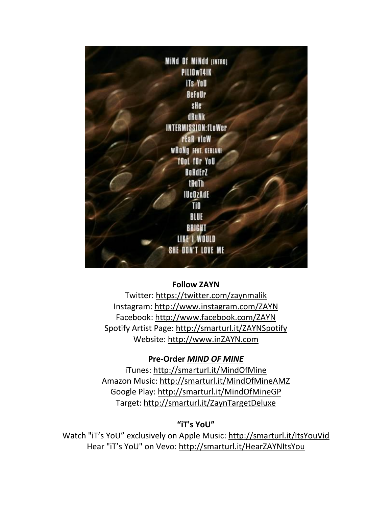

## **Follow ZAYN**

Twitter: <https://twitter.com/zaynmalik> Instagram: <http://www.instagram.com/ZAYN> Facebook: <http://www.facebook.com/ZAYN> Spotify Artist Page: <http://smarturl.it/ZAYNSpotify> Website: [http://www.inZAYN.com](http://www.inzayn.com/)

#### **Pre-Order** *MIND OF MINE*

iTunes: <http://smarturl.it/MindOfMine> Amazon Music: <http://smarturl.it/MindOfMineAMZ> Google Play: <http://smarturl.it/MindOfMineGP> Target: <http://smarturl.it/ZaynTargetDeluxe>

## **"iT's YoU"**

Watch "iT's YoU" exclusively on Apple Music: <http://smarturl.it/ItsYouVid> Hear "iT's YoU" on Vevo: <http://smarturl.it/HearZAYNItsYou>